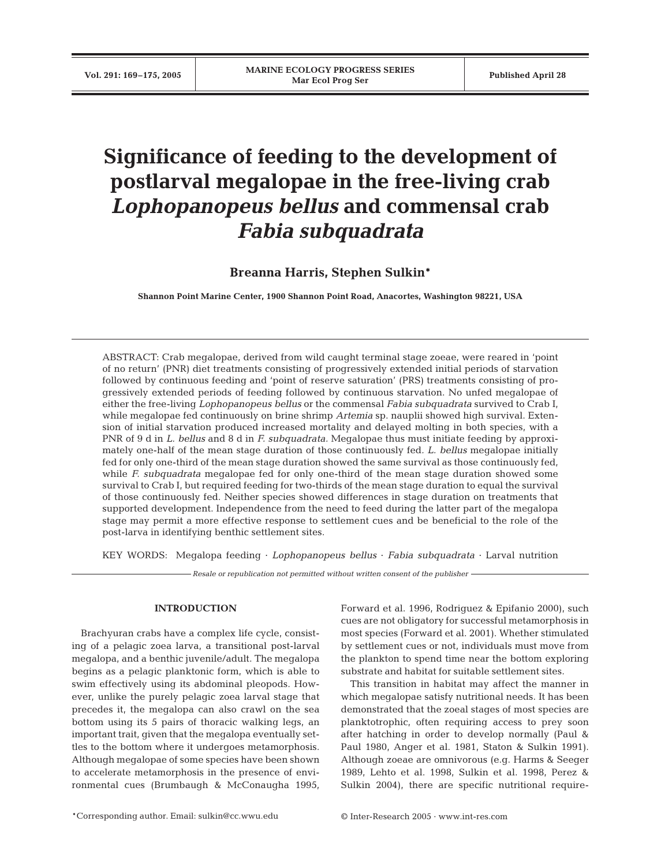# **Significance of feeding to the development of postlarval megalopae in the free-living crab** *Lophopanopeus bellus* **and commensal crab** *Fabia subquadrata*

**Breanna Harris, Stephen Sulkin\***

**Shannon Point Marine Center, 1900 Shannon Point Road, Anacortes, Washington 98221, USA**

ABSTRACT: Crab megalopae, derived from wild caught terminal stage zoeae, were reared in 'point of no return' (PNR) diet treatments consisting of progressively extended initial periods of starvation followed by continuous feeding and 'point of reserve saturation' (PRS) treatments consisting of progressively extended periods of feeding followed by continuous starvation. No unfed megalopae of either the free-living *Lophopanopeus bellus* or the commensal *Fabia subquadrata* survived to Crab I, while megalopae fed continuously on brine shrimp *Artemia* sp. nauplii showed high survival. Extension of initial starvation produced increased mortality and delayed molting in both species, with a PNR of 9 d in *L. bellus* and 8 d in *F. subquadrata.* Megalopae thus must initiate feeding by approximately one-half of the mean stage duration of those continuously fed*. L. bellus* megalopae initially fed for only one-third of the mean stage duration showed the same survival as those continuously fed, while *F. subquadrata* megalopae fed for only one-third of the mean stage duration showed some survival to Crab I, but required feeding for two-thirds of the mean stage duration to equal the survival of those continuously fed. Neither species showed differences in stage duration on treatments that supported development. Independence from the need to feed during the latter part of the megalopa stage may permit a more effective response to settlement cues and be beneficial to the role of the post-larva in identifying benthic settlement sites.

KEY WORDS: Megalopa feeding · *Lophopanopeus bellus* · *Fabia subquadrata* · Larval nutrition

*Resale or republication not permitted without written consent of the publisher*

# **INTRODUCTION**

Brachyuran crabs have a complex life cycle, consisting of a pelagic zoea larva, a transitional post-larval megalopa, and a benthic juvenile/adult. The megalopa begins as a pelagic planktonic form, which is able to swim effectively using its abdominal pleopods. However, unlike the purely pelagic zoea larval stage that precedes it, the megalopa can also crawl on the sea bottom using its 5 pairs of thoracic walking legs, an important trait, given that the megalopa eventually settles to the bottom where it undergoes metamorphosis. Although megalopae of some species have been shown to accelerate metamorphosis in the presence of environmental cues (Brumbaugh & McConaugha 1995,

Forward et al. 1996, Rodriguez & Epifanio 2000), such cues are not obligatory for successful metamorphosis in most species (Forward et al. 2001). Whether stimulated by settlement cues or not, individuals must move from the plankton to spend time near the bottom exploring substrate and habitat for suitable settlement sites.

This transition in habitat may affect the manner in which megalopae satisfy nutritional needs. It has been demonstrated that the zoeal stages of most species are planktotrophic, often requiring access to prey soon after hatching in order to develop normally (Paul & Paul 1980, Anger et al. 1981, Staton & Sulkin 1991). Although zoeae are omnivorous (e.g. Harms & Seeger 1989, Lehto et al. 1998, Sulkin et al. 1998, Perez & Sulkin 2004), there are specific nutritional require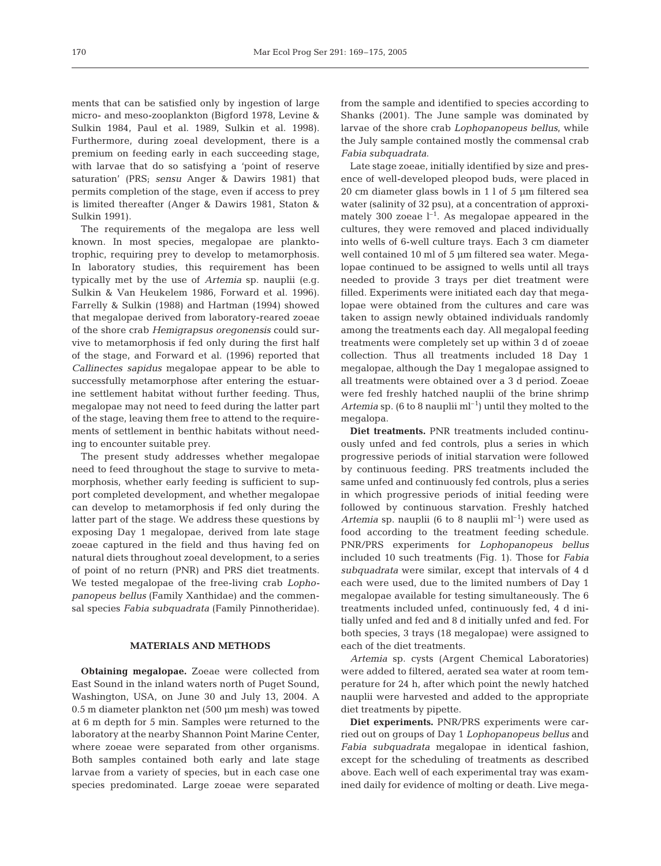ments that can be satisfied only by ingestion of large micro- and meso-zooplankton (Bigford 1978, Levine & Sulkin 1984, Paul et al. 1989, Sulkin et al. 1998). Furthermore, during zoeal development, there is a premium on feeding early in each succeeding stage, with larvae that do so satisfying a 'point of reserve saturation' (PRS; *sensu* Anger & Dawirs 1981) that permits completion of the stage, even if access to prey is limited thereafter (Anger & Dawirs 1981, Staton & Sulkin 1991).

The requirements of the megalopa are less well known. In most species, megalopae are planktotrophic, requiring prey to develop to metamorphosis. In laboratory studies, this requirement has been typically met by the use of *Artemia* sp. nauplii (e.g. Sulkin & Van Heukelem 1986, Forward et al. 1996). Farrelly & Sulkin (1988) and Hartman (1994) showed that megalopae derived from laboratory-reared zoeae of the shore crab *Hemigrapsus oregonensis* could survive to metamorphosis if fed only during the first half of the stage, and Forward et al. (1996) reported that *Callinectes sapidus* megalopae appear to be able to successfully metamorphose after entering the estuarine settlement habitat without further feeding. Thus, megalopae may not need to feed during the latter part of the stage, leaving them free to attend to the requirements of settlement in benthic habitats without needing to encounter suitable prey.

The present study addresses whether megalopae need to feed throughout the stage to survive to metamorphosis, whether early feeding is sufficient to support completed development, and whether megalopae can develop to metamorphosis if fed only during the latter part of the stage. We address these questions by exposing Day 1 megalopae, derived from late stage zoeae captured in the field and thus having fed on natural diets throughout zoeal development, to a series of point of no return (PNR) and PRS diet treatments. We tested megalopae of the free-living crab *Lophopanopeus bellus* (Family Xanthidae) and the commensal species *Fabia subquadrata* (Family Pinnotheridae).

## **MATERIALS AND METHODS**

**Obtaining megalopae.** Zoeae were collected from East Sound in the inland waters north of Puget Sound, Washington, USA, on June 30 and July 13, 2004. A 0.5 m diameter plankton net (500 µm mesh) was towed at 6 m depth for 5 min. Samples were returned to the laboratory at the nearby Shannon Point Marine Center, where zoeae were separated from other organisms. Both samples contained both early and late stage larvae from a variety of species, but in each case one species predominated. Large zoeae were separated

from the sample and identified to species according to Shanks (2001). The June sample was dominated by larvae of the shore crab *Lophopanopeus bellus*, while the July sample contained mostly the commensal crab *Fabia subquadrata*.

Late stage zoeae, initially identified by size and presence of well-developed pleopod buds, were placed in 20 cm diameter glass bowls in 1 l of 5 µm filtered sea water (salinity of 32 psu), at a concentration of approximately 300 zoeae  $l^{-1}$ . As megalopae appeared in the cultures, they were removed and placed individually into wells of 6-well culture trays. Each 3 cm diameter well contained 10 ml of 5 µm filtered sea water. Megalopae continued to be assigned to wells until all trays needed to provide 3 trays per diet treatment were filled. Experiments were initiated each day that megalopae were obtained from the cultures and care was taken to assign newly obtained individuals randomly among the treatments each day. All megalopal feeding treatments were completely set up within 3 d of zoeae collection. Thus all treatments included 18 Day 1 megalopae, although the Day 1 megalopae assigned to all treatments were obtained over a 3 d period. Zoeae were fed freshly hatched nauplii of the brine shrimp *Artemia* sp. (6 to 8 nauplii ml–1) until they molted to the megalopa.

**Diet treatments.** PNR treatments included continuously unfed and fed controls, plus a series in which progressive periods of initial starvation were followed by continuous feeding. PRS treatments included the same unfed and continuously fed controls, plus a series in which progressive periods of initial feeding were followed by continuous starvation. Freshly hatched *Artemia* sp. nauplii (6 to 8 nauplii  $ml^{-1}$ ) were used as food according to the treatment feeding schedule. PNR/PRS experiments for *Lophopanopeus bellus* included 10 such treatments (Fig. 1). Those for *Fabia subquadrata* were similar, except that intervals of 4 d each were used, due to the limited numbers of Day 1 megalopae available for testing simultaneously. The 6 treatments included unfed, continuously fed, 4 d initially unfed and fed and 8 d initially unfed and fed. For both species, 3 trays (18 megalopae) were assigned to each of the diet treatments.

*Artemia* sp. cysts (Argent Chemical Laboratories) were added to filtered, aerated sea water at room temperature for 24 h, after which point the newly hatched nauplii were harvested and added to the appropriate diet treatments by pipette.

**Diet experiments.** PNR/PRS experiments were carried out on groups of Day 1 *Lophopanopeus bellus* and *Fabia subquadrata* megalopae in identical fashion, except for the scheduling of treatments as described above. Each well of each experimental tray was examined daily for evidence of molting or death. Live mega-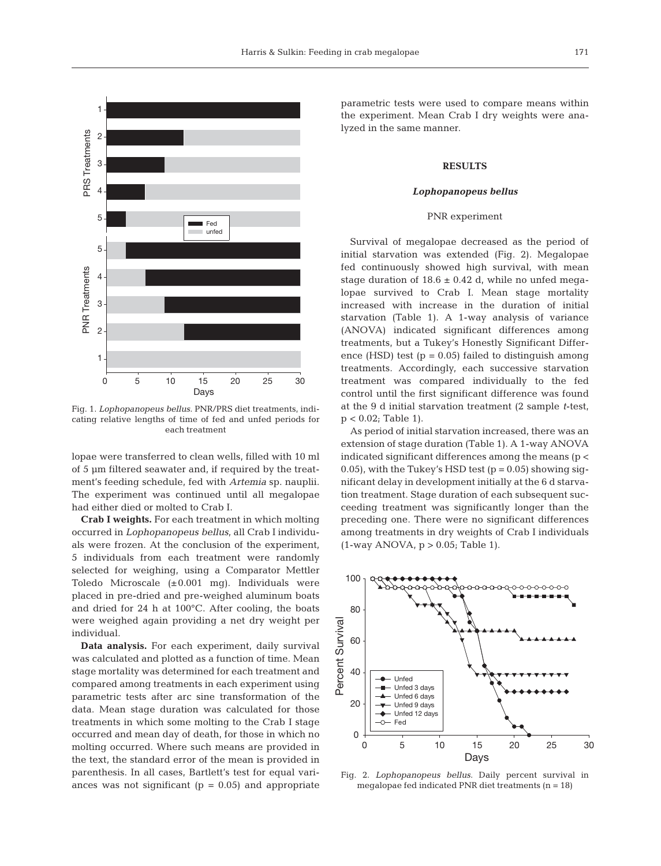

Fig. 1. *Lophopanopeus bellus*. PNR/PRS diet treatments, indicating relative lengths of time of fed and unfed periods for each treatment

lopae were transferred to clean wells, filled with 10 ml of 5 µm filtered seawater and, if required by the treatment's feeding schedule, fed with *Artemia* sp. nauplii. The experiment was continued until all megalopae had either died or molted to Crab I.

**Crab I weights.** For each treatment in which molting occurred in *Lophopanopeus bellus*, all Crab I individuals were frozen. At the conclusion of the experiment, 5 individuals from each treatment were randomly selected for weighing, using a Comparator Mettler Toledo Microscale (±0.001 mg). Individuals were placed in pre-dried and pre-weighed aluminum boats and dried for 24 h at 100°C. After cooling, the boats were weighed again providing a net dry weight per individual.

**Data analysis.** For each experiment, daily survival was calculated and plotted as a function of time. Mean stage mortality was determined for each treatment and compared among treatments in each experiment using parametric tests after arc sine transformation of the data. Mean stage duration was calculated for those treatments in which some molting to the Crab I stage occurred and mean day of death, for those in which no molting occurred. Where such means are provided in the text, the standard error of the mean is provided in parenthesis. In all cases, Bartlett's test for equal variances was not significant ( $p = 0.05$ ) and appropriate parametric tests were used to compare means within the experiment. Mean Crab I dry weights were analyzed in the same manner.

## **RESULTS**

#### *Lophopanopeus bellus*

#### PNR experiment

Survival of megalopae decreased as the period of initial starvation was extended (Fig. 2). Megalopae fed continuously showed high survival, with mean stage duration of  $18.6 \pm 0.42$  d, while no unfed megalopae survived to Crab I. Mean stage mortality increased with increase in the duration of initial starvation (Table 1). A 1-way analysis of variance (ANOVA) indicated significant differences among treatments, but a Tukey's Honestly Significant Difference (HSD) test ( $p = 0.05$ ) failed to distinguish among treatments. Accordingly, each successive starvation treatment was compared individually to the fed control until the first significant difference was found at the 9 d initial starvation treatment (2 sample *t*-test,  $p < 0.02$ ; Table 1).

As period of initial starvation increased, there was an extension of stage duration (Table 1). A 1-way ANOVA indicated significant differences among the means (p < 0.05), with the Tukey's HSD test  $(p = 0.05)$  showing significant delay in development initially at the 6 d starvation treatment. Stage duration of each subsequent succeeding treatment was significantly longer than the preceding one. There were no significant differences among treatments in dry weights of Crab I individuals  $(1$ -way ANOVA,  $p > 0.05$ ; Table 1).



Fig. 2. *Lophopanopeus bellus*. Daily percent survival in megalopae fed indicated PNR diet treatments  $(n = 18)$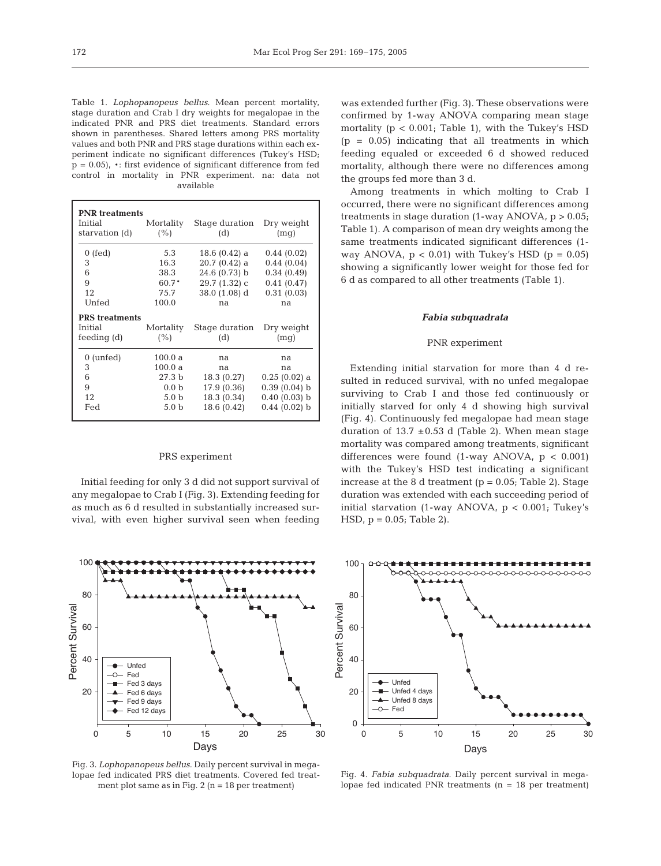Table 1. *Lophopanopeus bellus*. Mean percent mortality, stage duration and Crab I dry weights for megalopae in the indicated PNR and PRS diet treatments. Standard errors shown in parentheses. Shared letters among PRS mortality values and both PNR and PRS stage durations within each experiment indicate no significant differences (Tukey's HSD;  $p = 0.05$ , \*: first evidence of significant difference from fed control in mortality in PNR experiment. na: data not available

| <b>PNR</b> treatments<br>Initial<br>starvation (d) | Mortality<br>(%)  | Stage duration<br>(d) | Dry weight<br>(mq) |
|----------------------------------------------------|-------------------|-----------------------|--------------------|
| $0$ (fed)                                          | 5.3               | $18.6(0.42)$ a        | 0.44(0.02)         |
| 3                                                  | 16.3              | $20.7(0.42)$ a        | 0.44(0.04)         |
| 6                                                  | 38.3              | $24.6(0.73)$ b        | 0.34(0.49)         |
| 9                                                  | 60.7*             | 29.7 (1.32) с         | 0.41(0.47)         |
| 12                                                 | 75.7              | 38.0 (1.08) d         | 0.31(0.03)         |
| Unfed                                              | 100.0             | na                    | na                 |
| <b>PRS</b> treatments                              |                   |                       |                    |
| Initial                                            | Mortality         | Stage duration        | Dry weight         |
| fending(d)                                         | (%)               | (d)                   | (mq)               |
| $0 \text{ (unfed)}$                                | 100.0 a           | na                    | na                 |
| 3                                                  | 100.0 a           | na                    | na                 |
| 6                                                  | 27.3 <sub>b</sub> | 18.3 (0.27)           | $0.25(0.02)$ a     |
| 9                                                  | 0.0 <sub>b</sub>  | 17.9 (0.36)           | 0.39(0.04) b       |
| 12                                                 | 5.0 b             | 18.3 (0.34)           | 0.40(0.03) b       |
| Fed                                                | 5.0 <sub>b</sub>  | 18.6 (0.42)           | $0.44(0.02)$ b     |

## PRS experiment

Initial feeding for only 3 d did not support survival of any megalopae to Crab I (Fig. 3). Extending feeding for as much as 6 d resulted in substantially increased survival, with even higher survival seen when feeding



Fig. 3. *Lophopanopeus bellus*. Daily percent survival in megalopae fed indicated PRS diet treatments. Covered fed treatment plot same as in Fig.  $2$  (n = 18 per treatment)

was extended further (Fig. 3). These observations were confirmed by 1-way ANOVA comparing mean stage mortality  $(p < 0.001$ ; Table 1), with the Tukey's HSD  $(p = 0.05)$  indicating that all treatments in which feeding equaled or exceeded 6 d showed reduced mortality, although there were no differences among the groups fed more than 3 d.

Among treatments in which molting to Crab I occurred, there were no significant differences among treatments in stage duration  $(1$ -way ANOVA,  $p > 0.05$ ; Table 1). A comparison of mean dry weights among the same treatments indicated significant differences (1 way ANOVA,  $p < 0.01$ ) with Tukey's HSD ( $p = 0.05$ ) showing a significantly lower weight for those fed for 6 d as compared to all other treatments (Table 1).

#### *Fabia subquadrata*

## PNR experiment

Extending initial starvation for more than 4 d resulted in reduced survival, with no unfed megalopae surviving to Crab I and those fed continuously or initially starved for only 4 d showing high survival (Fig. 4). Continuously fed megalopae had mean stage duration of  $13.7 \pm 0.53$  d (Table 2). When mean stage mortality was compared among treatments, significant differences were found  $(1$ -way ANOVA,  $p < 0.001$ ) with the Tukey's HSD test indicating a significant increase at the  $8$  d treatment ( $p = 0.05$ ; Table 2). Stage duration was extended with each succeeding period of initial starvation (1-way ANOVA, p < 0.001; Tukey's HSD,  $p = 0.05$ ; Table 2).



Fig. 4. *Fabia subquadrata*. Daily percent survival in megalopae fed indicated PNR treatments  $(n = 18$  per treatment)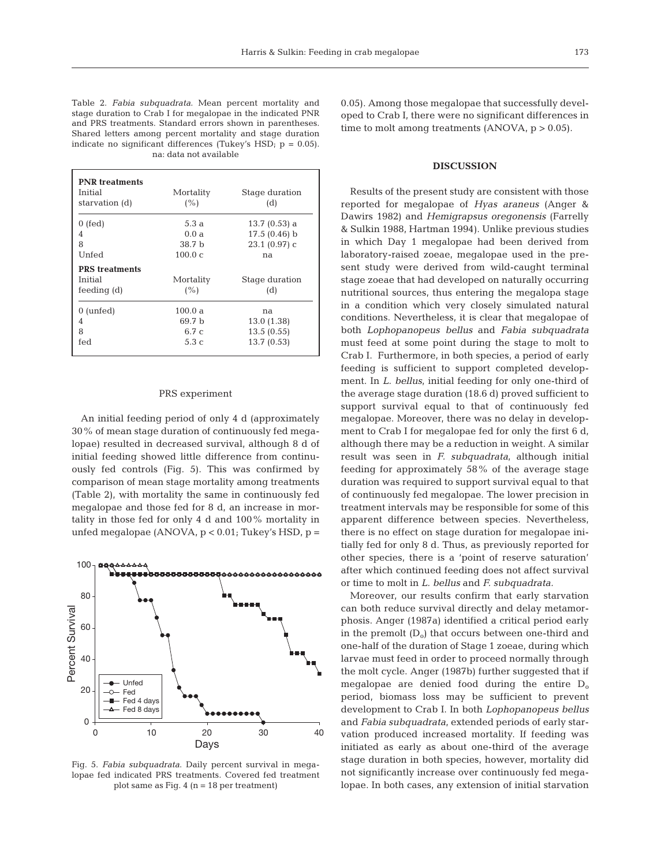Table 2. *Fabia subquadrata*. Mean percent mortality and stage duration to Crab I for megalopae in the indicated PNR and PRS treatments. Standard errors shown in parentheses. Shared letters among percent mortality and stage duration indicate no significant differences (Tukey's HSD;  $p = 0.05$ ). na: data not available

| <b>PNR</b> treatments<br>Initial<br>starvation (d) | Mortality<br>(%)  | Stage duration<br>(d) |
|----------------------------------------------------|-------------------|-----------------------|
| $0$ (fed)                                          | 5.3a              | $13.7(0.53)$ a        |
| 4                                                  | 0.0 a             | $17.5(0.46)$ b        |
| 8                                                  | 38.7 <sub>b</sub> | 23.1 (0.97) с         |
| Unfed                                              | 100.0 c           | na                    |
| <b>PRS</b> treatments<br>Initial<br>feeding $(d)$  | Mortality<br>(%)  | Stage duration<br>(d) |
| $0 \text{ (unfed)}$                                | 100.0a            | na                    |
| 4                                                  | 69.7 <sub>b</sub> | 13.0(1.38)            |
| 8                                                  | 6.7c              | 13.5(0.55)            |
| fed                                                | 5.3c              | 13.7(0.53)            |

## PRS experiment

An initial feeding period of only 4 d (approximately 30% of mean stage duration of continuously fed megalopae) resulted in decreased survival, although 8 d of initial feeding showed little difference from continuously fed controls (Fig. 5). This was confirmed by comparison of mean stage mortality among treatments (Table 2), with mortality the same in continuously fed megalopae and those fed for 8 d, an increase in mortality in those fed for only 4 d and 100% mortality in unfed megalopae (ANOVA, p < 0.01; Tukey's HSD, p =



Fig. 5. *Fabia subquadrata*. Daily percent survival in megalopae fed indicated PRS treatments. Covered fed treatment plot same as Fig.  $4$  (n = 18 per treatment)

0.05). Among those megalopae that successfully developed to Crab I, there were no significant differences in time to molt among treatments  $(ANOVA, p > 0.05)$ .

# **DISCUSSION**

Results of the present study are consistent with those reported for megalopae of *Hyas araneus* (Anger & Dawirs 1982) and *Hemigrapsus oregonensis* (Farrelly & Sulkin 1988, Hartman 1994). Unlike previous studies in which Day 1 megalopae had been derived from laboratory-raised zoeae, megalopae used in the present study were derived from wild-caught terminal stage zoeae that had developed on naturally occurring nutritional sources, thus entering the megalopa stage in a condition which very closely simulated natural conditions. Nevertheless, it is clear that megalopae of both *Lophopanopeus bellus* and *Fabia subquadrata* must feed at some point during the stage to molt to Crab I. Furthermore, in both species, a period of early feeding is sufficient to support completed development. In *L. bellus*, initial feeding for only one-third of the average stage duration (18.6 d) proved sufficient to support survival equal to that of continuously fed megalopae. Moreover, there was no delay in development to Crab I for megalopae fed for only the first 6 d, although there may be a reduction in weight. A similar result was seen in *F. subquadrata*, although initial feeding for approximately 58% of the average stage duration was required to support survival equal to that of continuously fed megalopae. The lower precision in treatment intervals may be responsible for some of this apparent difference between species. Nevertheless, there is no effect on stage duration for megalopae initially fed for only 8 d. Thus, as previously reported for other species, there is a 'point of reserve saturation' after which continued feeding does not affect survival or time to molt in *L. bellus* and *F. subquadrata.*

Moreover, our results confirm that early starvation can both reduce survival directly and delay metamorphosis. Anger (1987a) identified a critical period early in the premolt  $(D_0)$  that occurs between one-third and one-half of the duration of Stage 1 zoeae, during which larvae must feed in order to proceed normally through the molt cycle. Anger (1987b) further suggested that if megalopae are denied food during the entire  $D_0$ period, biomass loss may be sufficient to prevent development to Crab I. In both *Lophopanopeus bellus* and *Fabia subquadrata*, extended periods of early starvation produced increased mortality. If feeding was initiated as early as about one-third of the average stage duration in both species, however, mortality did not significantly increase over continuously fed megalopae. In both cases, any extension of initial starvation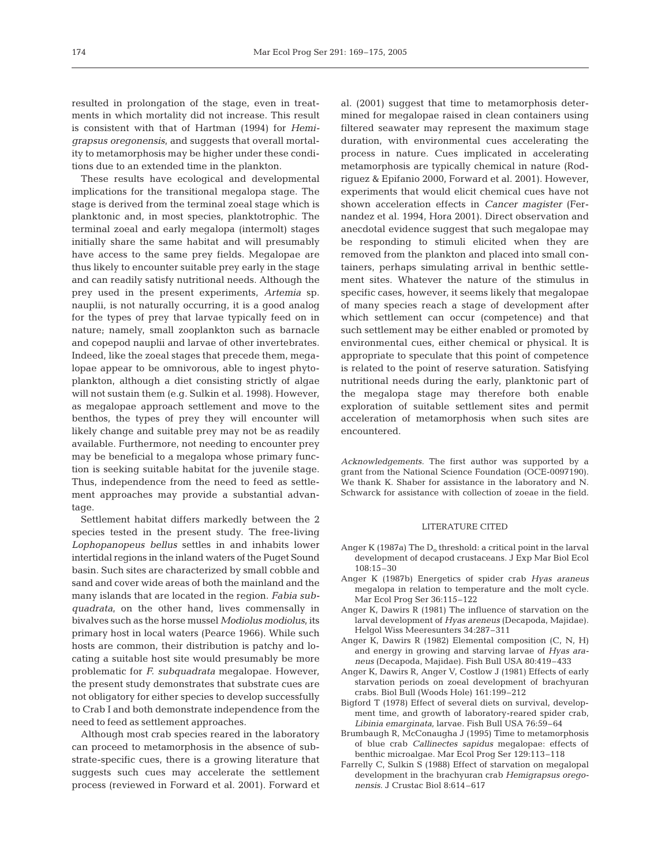resulted in prolongation of the stage, even in treatments in which mortality did not increase. This result is consistent with that of Hartman (1994) for *Hemigrapsus oregonensis*, and suggests that overall mortality to metamorphosis may be higher under these conditions due to an extended time in the plankton.

These results have ecological and developmental implications for the transitional megalopa stage. The stage is derived from the terminal zoeal stage which is planktonic and, in most species, planktotrophic. The terminal zoeal and early megalopa (intermolt) stages initially share the same habitat and will presumably have access to the same prey fields. Megalopae are thus likely to encounter suitable prey early in the stage and can readily satisfy nutritional needs. Although the prey used in the present experiments, *Artemia* sp. nauplii, is not naturally occurring, it is a good analog for the types of prey that larvae typically feed on in nature; namely, small zooplankton such as barnacle and copepod nauplii and larvae of other invertebrates. Indeed, like the zoeal stages that precede them, megalopae appear to be omnivorous, able to ingest phytoplankton, although a diet consisting strictly of algae will not sustain them (e.g. Sulkin et al. 1998). However, as megalopae approach settlement and move to the benthos, the types of prey they will encounter will likely change and suitable prey may not be as readily available. Furthermore, not needing to encounter prey may be beneficial to a megalopa whose primary function is seeking suitable habitat for the juvenile stage. Thus, independence from the need to feed as settlement approaches may provide a substantial advantage.

Settlement habitat differs markedly between the 2 species tested in the present study. The free-living *Lophopanopeus bellus* settles in and inhabits lower intertidal regions in the inland waters of the Puget Sound basin. Such sites are characterized by small cobble and sand and cover wide areas of both the mainland and the many islands that are located in the region. *Fabia subquadrata*, on the other hand, lives commensally in bivalves such as the horse mussel *Modiolus modiolus*, its primary host in local waters (Pearce 1966). While such hosts are common, their distribution is patchy and locating a suitable host site would presumably be more problematic for *F. subquadrata* megalopae. However, the present study demonstrates that substrate cues are not obligatory for either species to develop successfully to Crab I and both demonstrate independence from the need to feed as settlement approaches.

Although most crab species reared in the laboratory can proceed to metamorphosis in the absence of substrate-specific cues, there is a growing literature that suggests such cues may accelerate the settlement process (reviewed in Forward et al. 2001). Forward et

al. (2001) suggest that time to metamorphosis determined for megalopae raised in clean containers using filtered seawater may represent the maximum stage duration, with environmental cues accelerating the process in nature. Cues implicated in accelerating metamorphosis are typically chemical in nature (Rodriguez & Epifanio 2000, Forward et al. 2001). However, experiments that would elicit chemical cues have not shown acceleration effects in *Cancer magister* (Fernandez et al. 1994, Hora 2001). Direct observation and anecdotal evidence suggest that such megalopae may be responding to stimuli elicited when they are removed from the plankton and placed into small containers, perhaps simulating arrival in benthic settlement sites. Whatever the nature of the stimulus in specific cases, however, it seems likely that megalopae of many species reach a stage of development after which settlement can occur (competence) and that such settlement may be either enabled or promoted by environmental cues, either chemical or physical. It is appropriate to speculate that this point of competence is related to the point of reserve saturation. Satisfying nutritional needs during the early, planktonic part of the megalopa stage may therefore both enable exploration of suitable settlement sites and permit acceleration of metamorphosis when such sites are encountered.

*Acknowledgements.* The first author was supported by a grant from the National Science Foundation (OCE-0097190). We thank K. Shaber for assistance in the laboratory and N. Schwarck for assistance with collection of zoeae in the field.

## LITERATURE CITED

- Anger K (1987a) The  $D_0$  threshold: a critical point in the larval development of decapod crustaceans. J Exp Mar Biol Ecol 108:15–30
- Anger K (1987b) Energetics of spider crab *Hyas araneus* megalopa in relation to temperature and the molt cycle. Mar Ecol Prog Ser 36:115–122
- Anger K, Dawirs R (1981) The influence of starvation on the larval development of *Hyas areneus* (Decapoda, Majidae). Helgol Wiss Meeresunters 34:287–311
- Anger K, Dawirs R (1982) Elemental composition (C, N, H) and energy in growing and starving larvae of *Hyas araneus* (Decapoda, Majidae). Fish Bull USA 80:419–433
- Anger K, Dawirs R, Anger V, Costlow J (1981) Effects of early starvation periods on zoeal development of brachyuran crabs. Biol Bull (Woods Hole) 161:199–212
- Bigford T (1978) Effect of several diets on survival, development time, and growth of laboratory-reared spider crab, *Libinia emarginata*, larvae. Fish Bull USA 76:59–64
- Brumbaugh R, McConaugha J (1995) Time to metamorphosis of blue crab *Callinectes sapidus* megalopae: effects of benthic microalgae. Mar Ecol Prog Ser 129:113–118
- Farrelly C, Sulkin S (1988) Effect of starvation on megalopal development in the brachyuran crab *Hemigrapsus oregonensis*. J Crustac Biol 8:614–617